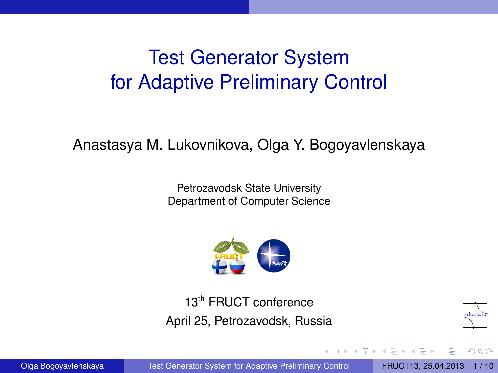# <span id="page-0-1"></span>Test Generator System for Adaptive Preliminary Control

#### Anastasya M. Lukovnikova, Olga Y. Bogoyavlenskaya

Petrozavodsk State University Department of Computer Science



13th FRUCT conference April 25, Petrozavodsk, Russia



<span id="page-0-0"></span> $\Omega$ 

Olga Bogoyavlenskaya [Test Generator System for Adaptive Preliminary Control](#page-9-0) FRUCT13, 25.04.2013 1/10

4 17 18

**A** The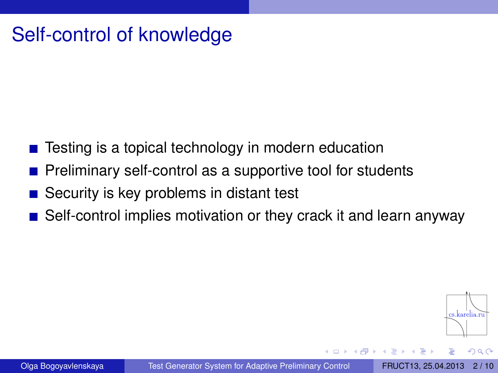## Self-control of knowledge

- $\blacksquare$  Testing is a topical technology in modern education
- Preliminary self-control as a supportive tool for students
- Security is key problems in distant test
- Self-control implies motivation or they crack it and learn anyway

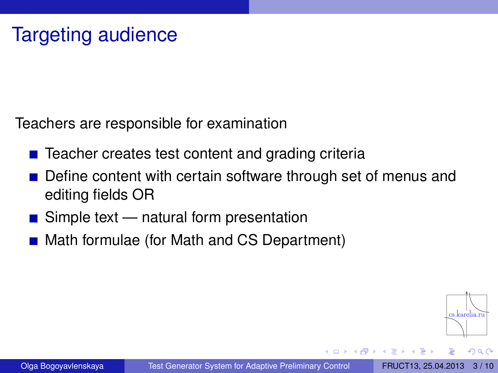Teachers are responsible for examination

- $\blacksquare$  Teacher creates test content and grading criteria
- Define content with certain software through set of menus and editing fields OR
- $\blacksquare$  Simple text natural form presentation
- Math formulae (for Math and CS Department)

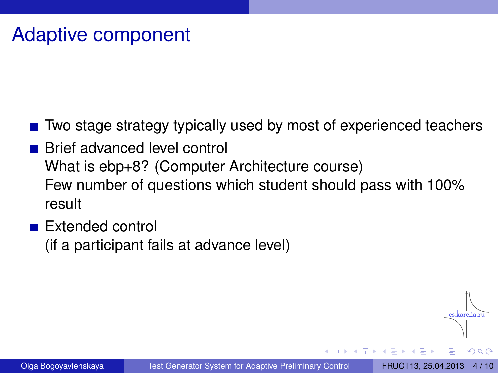## Adaptive component

- Two stage strategy typically used by most of experienced teachers
- Brief advanced level control What is ebp+8? (Computer Architecture course) Few number of questions which student should pass with 100% result
- **Extended control** (if a participant fails at advance level)

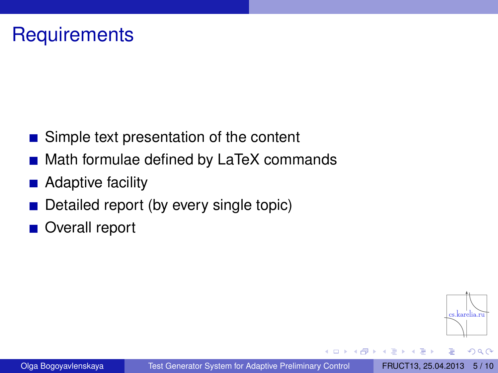#### **Requirements**

- Simple text presentation of the content
- Math formulae defined by LaTeX commands
- Adaptive facility
- Detailed report (by every single topic)
- Overall report

 $\Omega$ 

×. 舌

● ト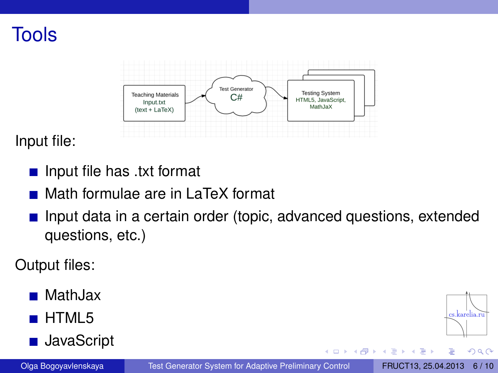



Input file:

- Input file has .txt format
- Math formulae are in LaTeX format
- **Input data in a certain order (topic, advanced questions, extended** questions, etc.)

Output files:

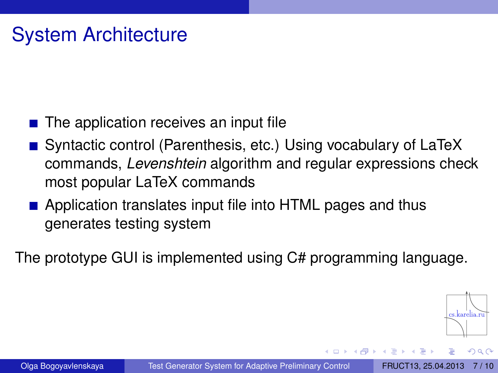## System Architecture

- $\blacksquare$  The application receives an input file
- Syntactic control (Parenthesis, etc.) Using vocabulary of LaTeX commands, *Levenshtein* algorithm and regular expressions check most popular LaTeX commands
- **E** Application translates input file into HTML pages and thus generates testing system

The prototype GUI is implemented using C# programming language.

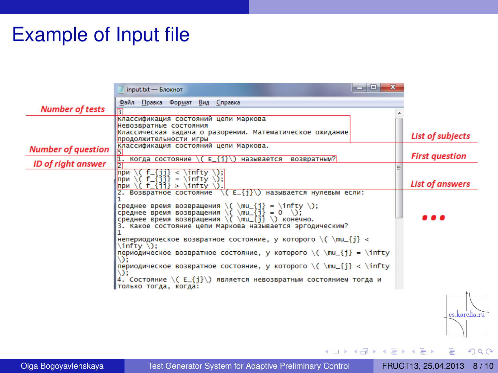## Example of Input file

|                           | ا کار دی<br>$\mathbf{x}$<br>input.txt - Блокнот                                                                                                                                                                                                                                                        |                         |
|---------------------------|--------------------------------------------------------------------------------------------------------------------------------------------------------------------------------------------------------------------------------------------------------------------------------------------------------|-------------------------|
|                           | Файл Правка Формат Вид Справка                                                                                                                                                                                                                                                                         |                         |
| <b>Number of tests</b>    |                                                                                                                                                                                                                                                                                                        |                         |
|                           | Классификация состояний цепи Маркова                                                                                                                                                                                                                                                                   |                         |
|                           | Невозвратные состояния                                                                                                                                                                                                                                                                                 |                         |
|                           | Классическая задача о разорении. Математическое ожидание                                                                                                                                                                                                                                               | <b>List of subjects</b> |
|                           | продолжительности игры                                                                                                                                                                                                                                                                                 |                         |
| <b>Number of question</b> | Классификация состояний цепи Маркова.                                                                                                                                                                                                                                                                  | <b>First question</b>   |
| ID of right answer        | возвратным?<br> 1. Когда состояние \( E_{i}\)<br>называется                                                                                                                                                                                                                                            |                         |
|                           | при<br>$\int$ infty $\iota$ :<br>$\prec$                                                                                                                                                                                                                                                               |                         |
|                           | $\sqrt{6}$ f $\sqrt{3}$ f $\sqrt{3}$ = $\int$ $\sqrt{6}$ f $\sqrt{3}$ = $\int$ $\sqrt{6}$ f $\sqrt{3}$ = $\int$ $\sqrt{6}$ f $\sqrt{3}$ f $\sqrt{3}$ = $\int$ $\sqrt{6}$ f $\sqrt{3}$ f $\sqrt{3}$ f $\sqrt{3}$ f $\sqrt{3}$ f $\sqrt{3}$ f $\sqrt{3}$ f $\sqrt{3}$ f $\sqrt{3}$ f $\sqrt{3}$ f<br>при |                         |
|                           | (infty \)<br>f Gill<br>при<br>$\geq$                                                                                                                                                                                                                                                                   | List of answers         |
|                           | \( E_{i}\) называется нулевым если:<br>2. Возвратное состояние                                                                                                                                                                                                                                         |                         |
|                           |                                                                                                                                                                                                                                                                                                        |                         |
|                           | среднее время возвращения \( \mu_{j} = \infty \);<br>среднее время возвращения \( \mu_{j} = 0 \);                                                                                                                                                                                                      |                         |
|                           |                                                                                                                                                                                                                                                                                                        |                         |
|                           | среднее время возвращения $\(\ \mu_{i}\)$ $\$ конечно.                                                                                                                                                                                                                                                 |                         |
|                           | 3. Какое состояние цепи Маркова называется эргодическим?                                                                                                                                                                                                                                               |                         |
|                           | непериодическое возвратное состояние, у которого \( \mu_{i} <<br>$\int$ infty $\iota$ :                                                                                                                                                                                                                |                         |
|                           | периодическое возвратное состояние, у которого $\{ \mu_{i}\} = \int_{\mathbb{T}}$<br>៶:                                                                                                                                                                                                                |                         |
|                           | периодическое возвратное состояние, у которого $\{ \mu_{i} \} < \infty$<br>V):                                                                                                                                                                                                                         |                         |
|                           | 4. Состояние \( E_{i}\) является невозвратным состоянием тогда и<br>Ітолько тогда, когда:                                                                                                                                                                                                              |                         |
|                           |                                                                                                                                                                                                                                                                                                        |                         |
|                           |                                                                                                                                                                                                                                                                                                        | cs.karelia.ri           |
|                           |                                                                                                                                                                                                                                                                                                        |                         |

Olga Bogoyavlenskaya [Test Generator System for Adaptive Preliminary Control](#page-0-0) FRUCT13, 25.04.2013 [8 / 10](#page-0-1)

∍

 $299$ 

(ロ) ( d )

 $\mathcal{A}$ B  $\mathbb{R}^d \times \mathbb{R}^d \to \mathbb{R}^d$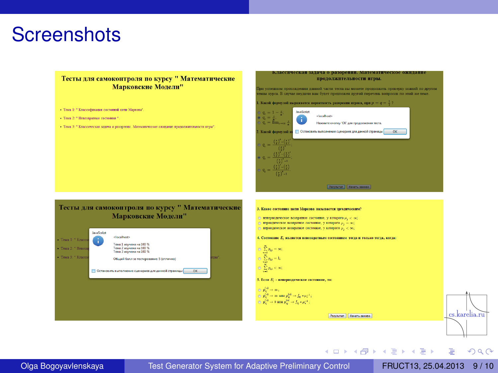#### **Screenshots**

#### Тесты для самоконтроля по курсу " Математические Марковские Модели"

- Testa 1: " Knaccadascansi cocronnat uerra Mancona".
- Тема 2: " Непознанные состояния ".
- Тема 3: " Классическая задача о разорении. Малекапическое ожидание продолживельности игры".

#### Классическая задача о разорении. Математическое ожидание продолжительности игры.

.<br>При успешном прохождении данной части теста вы можете продолжить проверку знаний по другим reatas synca B cayvas неудачи вам будет преддожен другой перечень вопросов по этой же теме.

. Какой формулой выражается вероятность разорения шрока, при  $p=q=\frac{1}{3}$  ?

| $q_i = 1 - \frac{z_i}{a}$<br>$q_i = \frac{z_i}{a}$<br>$q_i = \lim_{i \to \infty} \frac{z_i}{n}$<br>Какой формулой из                                                                                            | <b>JavaScript</b><br>$\bullet$<br>ш | <localhost><br/>Находите кнопку "ОК" для продолжения теста.<br/>Остановить выполнение сценариев для данной страницы<br/>ac</localhost> |  |
|-----------------------------------------------------------------------------------------------------------------------------------------------------------------------------------------------------------------|-------------------------------------|----------------------------------------------------------------------------------------------------------------------------------------|--|
| $q_i = \frac{{\left(\frac{p}{q}\right)}^2 - \left(\frac{p}{q}\right)}{{\left(\frac{p}{q}\right)}^2}$                                                                                                            |                                     |                                                                                                                                        |  |
| $q_z = \frac{{\binom{q}{y}}^2 - {\binom{q}{y}}^2}{{\binom{q}{x}}^2 - 1}$                                                                                                                                        |                                     |                                                                                                                                        |  |
| $q_{\scriptscriptstyle \rm I}=\frac{{\scriptstyle \left(\frac{y}{q}\right)}^{\scriptscriptstyle C}-{\scriptstyle \left(\frac{y}{q}\right)}}{{\scriptstyle \left(\frac{y}{q}\right)}^{\scriptscriptstyle C}-1}}$ |                                     | <b>Perventer</b><br>Начать заходо                                                                                                      |  |



Olga Bogoyavlenskaya [Test Generator System for Adaptive Preliminary Control](#page-0-0) FRUCT13, 25.04.2013 9/10

Þ

 $\Omega$ 

イロト イ部 トイヨ トイヨト